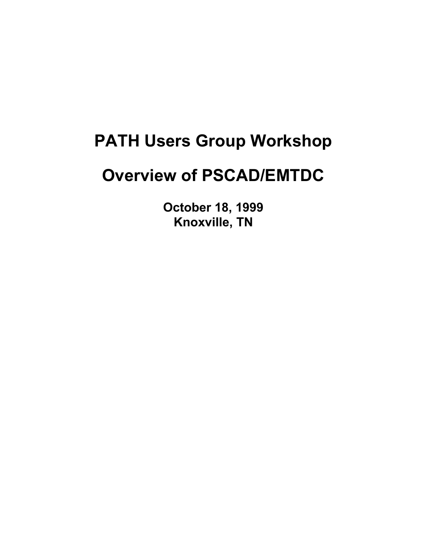### **PATH Users Group Workshop**

### **Overview of PSCAD/EMTDC**

**October 18, 1999 Knoxville, TN**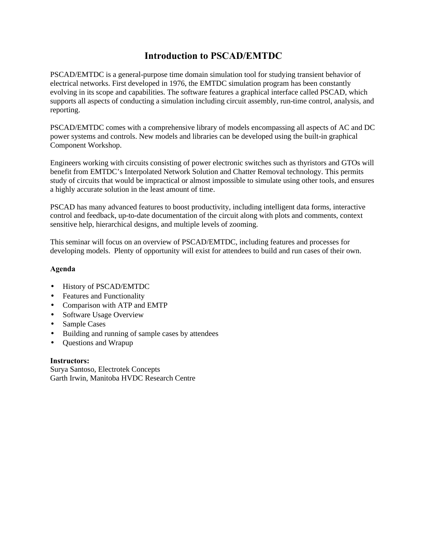### **Introduction to PSCAD/EMTDC**

PSCAD/EMTDC is a general-purpose time domain simulation tool for studying transient behavior of electrical networks. First developed in 1976, the EMTDC simulation program has been constantly evolving in its scope and capabilities. The software features a graphical interface called PSCAD, which supports all aspects of conducting a simulation including circuit assembly, run-time control, analysis, and reporting.

PSCAD/EMTDC comes with a comprehensive library of models encompassing all aspects of AC and DC power systems and controls. New models and libraries can be developed using the built-in graphical Component Workshop.

Engineers working with circuits consisting of power electronic switches such as thyristors and GTOs will benefit from EMTDC's Interpolated Network Solution and Chatter Removal technology. This permits study of circuits that would be impractical or almost impossible to simulate using other tools, and ensures a highly accurate solution in the least amount of time.

PSCAD has many advanced features to boost productivity, including intelligent data forms, interactive control and feedback, up-to-date documentation of the circuit along with plots and comments, context sensitive help, hierarchical designs, and multiple levels of zooming.

This seminar will focus on an overview of PSCAD/EMTDC, including features and processes for developing models. Plenty of opportunity will exist for attendees to build and run cases of their own.

#### **Agenda**

- History of PSCAD/EMTDC
- Features and Functionality
- Comparison with ATP and EMTP
- Software Usage Overview
- Sample Cases
- Building and running of sample cases by attendees
- Questions and Wrapup

#### **Instructors:**

Surya Santoso, Electrotek Concepts Garth Irwin, Manitoba HVDC Research Centre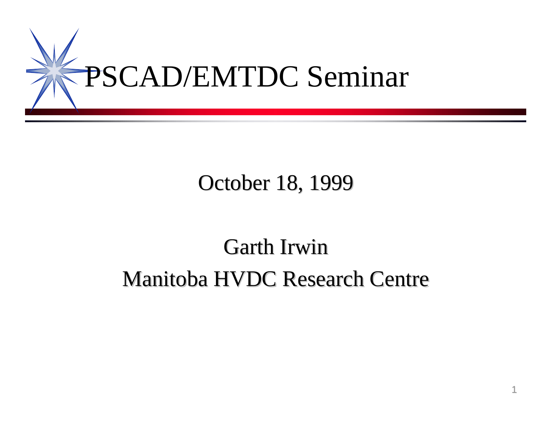

## October 18, 1999

# Garth Irwin Manitoba HVDC Research Centre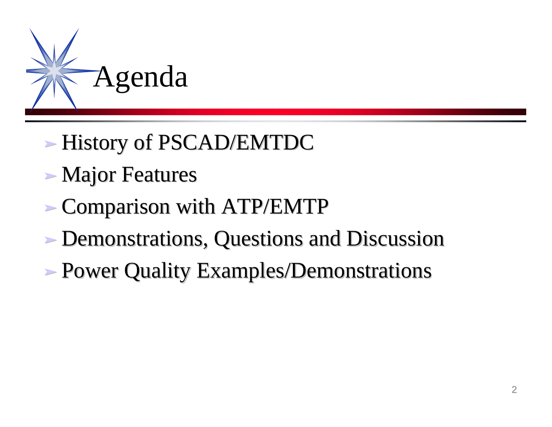

- ‰ History of PSCAD/EMTDC
- ‰ Major Features
- ‰ Comparison with ATP/EMTP
- ‰ Demonstrations, Questions and Discussion
- **Power Quality Examples/Demonstrations**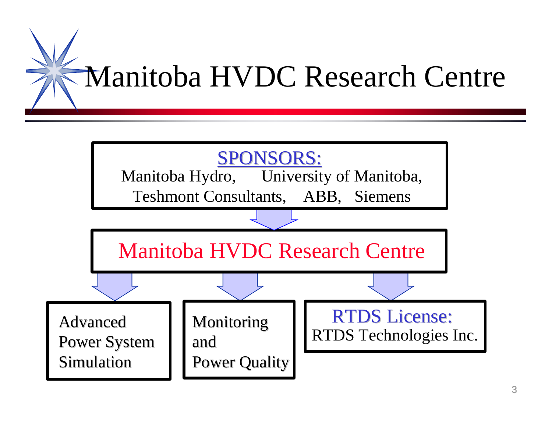

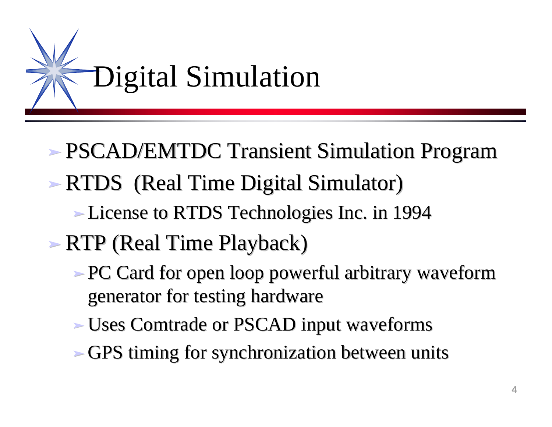

- ‰ PSCAD/EMTDC Transient Simulation Program ‰ RTDS (Real Time Digital Simulator)
	- ‰ License to RTDS Technologies Inc. in 1994
- ‰ RTP (Real Time Playback)
	- Reference PC Card for open loop powerful arbitrary waveform generator for testing hardware
	- ‰ Uses Comtrade or PSCAD input waveforms
	- ‰ GPS timing for synchronization between units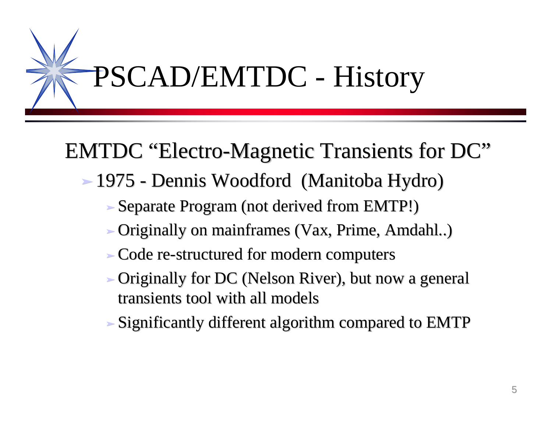

## EMTDC "Electro-Magnetic Transients for DC"

- ‰ 1975 Dennis Woodford (Manitoba Hydro)
	- ‰ Separate Program (not derived from EMTP!)
	- ‰ Originally on mainframes (Vax, Prime, Amdahl..)
	- ‰ Code re-structured for modern computers
	- ‰ Originally for DC (Nelson River), but now a general transients tool with all models
	- ‰ Significantly different algorithm compared to EMTP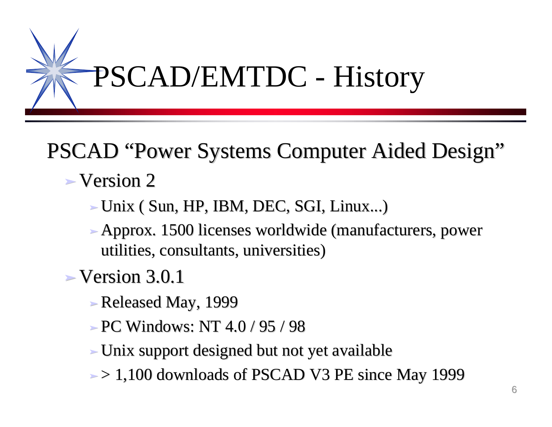

# PSCAD "Power Systems Computer Aided Design"

- $\blacktriangleright$  Version 2
	- $\blacktriangleright$  Unix ( Sun, HP, IBM, DEC, SGI, Linux...)
	- ‰ Approx. 1500 licenses worldwide (manufacturers, power utilities, consultants, universities)
- $\blacktriangleright$  Version 3.0.1
	- ‰ Released May, 1999
	- $\ge$  PC Windows: NT 4.0 / 95 / 98
	- ‰ Unix support designed but not yet available
	- $\ge$  1,100 downloads of PSCAD V3 PE since May 1999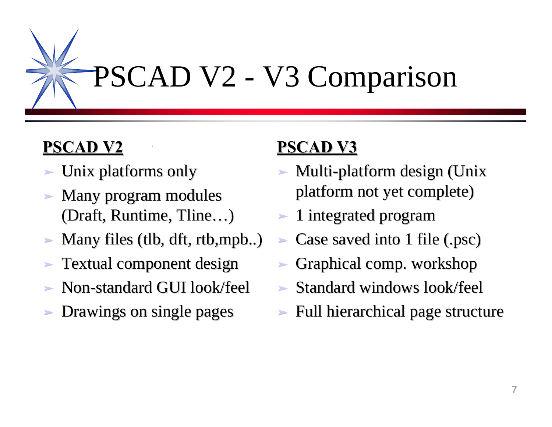

## **PSCAD V2**

- ‰ Unix platforms only **I**
- Many program modules (Draft, Runtime, Tline…)
- $\blacktriangleright$  Many files (tlb, dft, rtb, mpb..)

**1**

- ‰ Textual component design
- ‰ Non-standard GUI look/feel
- ‰ Drawings on single pages

### **PSCAD V3 1**

- ‰ Multi-platform design (Unix platform not yet complete)
- ‰ 1 integrated program
- $\blacktriangleright$  Case saved into 1 file (.psc)
- ‰ Graphical comp. workshop
- ‰ Standard windows look/feel
- Full hierarchical page structure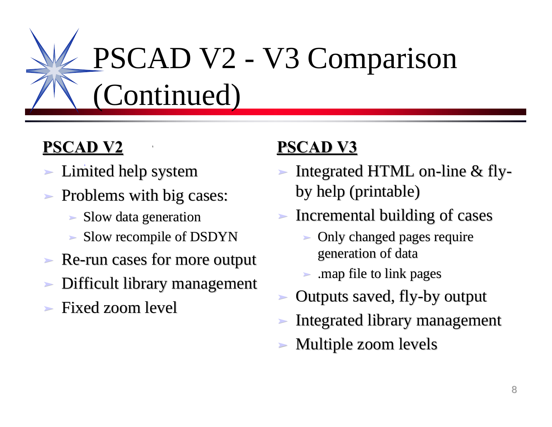# PSCAD V2 - V3 Comparison (Continued)

## **PSCAD V2**

- > Limited help system
- ► Problems with big cases:
	- ‰ Slow data generation
	- ‰ Slow recompile of DSDYN

**1**

- Re-run cases for more output
- Difficult library management
- ‰ Fixed zoom level

### **PSCAD V3 1**

- ‰ Integrated HTML on-line & flyby help (printable)
- ‰ Incremental building of cases
	- ► Only changed pages require generation of data
	- ► .map file to link pages
- ‰ Outputs saved, fly-by output
- Integrated library management
- Multiple zoom levels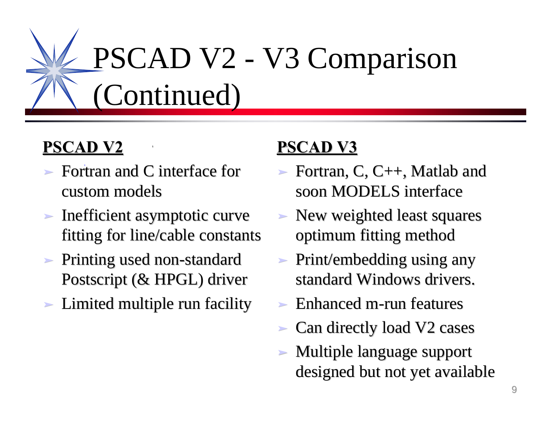# PSCAD V2 - V3 Comparison (Continued)

## **PSCAD V2**

► Fortran and C interface for custom models

**1**

- Inefficient asymptotic curve fitting for line/cable constants
- ► Printing used non-standard Postscript (& HPGL) driver
- Limited multiple run facility

#### **PSCAD V3 1**

- ‰ Fortran, C, C++, Matlab and soon MODELS interface
- ‰ New weighted least squares optimum fitting method
- ‰ Print/embedding using any standard Windows drivers.
- Enhanced m-run features
- Can directly load V2 cases
- Multiple language support designed but not yet available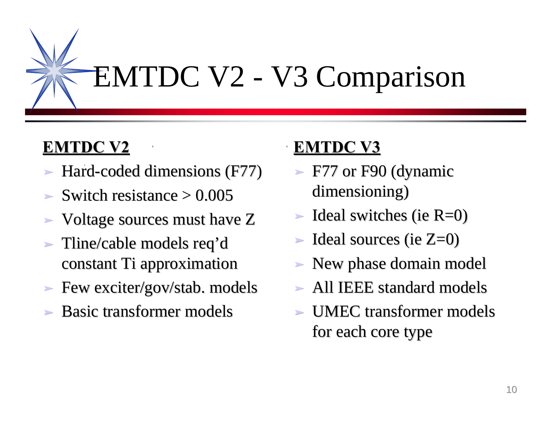

## **EMTDC V2**

‰ Hard-coded dimensions (F77) **I**

**1**

- $\blacktriangleright$  Switch resistance  $\blacktriangleright$  0.005
- Voltage sources must have Z
- ‰ Tline/cable models req'd constant Ti approximation
- ► Few exciter/gov/stab. models
- Basic transformer models

### **EMTDC V3**

**1**

- $\blacktriangleright$  F77 or F90 (dynamic dimensioning)
- $\blacktriangleright$  Ideal switches (ie R=0)
- $\blacktriangleright$  Ideal sources (ie  $Z=0$ )
- lacksquare New phase domain model
- ‰ All IEEE standard models
- UMEC transformer models for each core type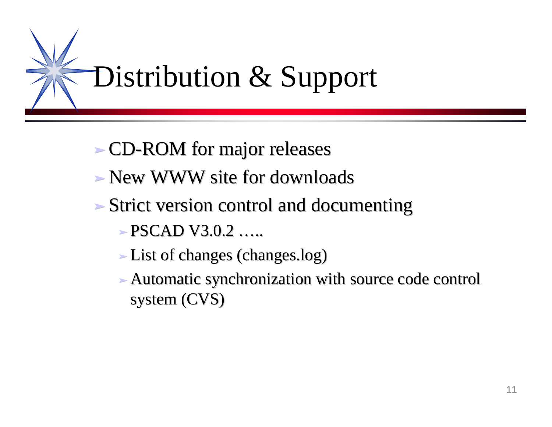

- ‰ CD-ROM for major releases
- ‰ New WWW site for downloads
- ‰ Strict version control and documenting
	- $\textcolor{red}{\geq}$  PSCAD V3.0.2 …
	- ‰ List of changes (changes.log)
	- ‰ Automatic synchronization with source code control system (CVS)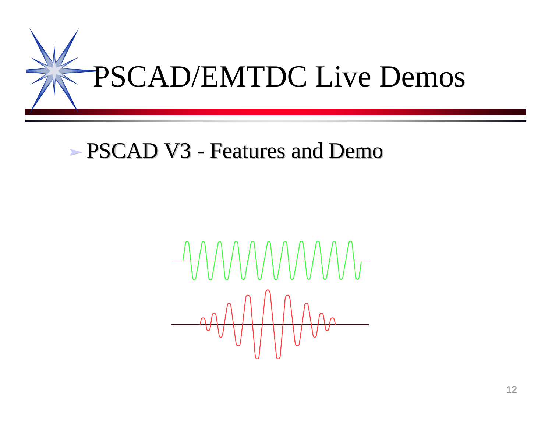

## ‰ PSCAD V3 - Features and Demo

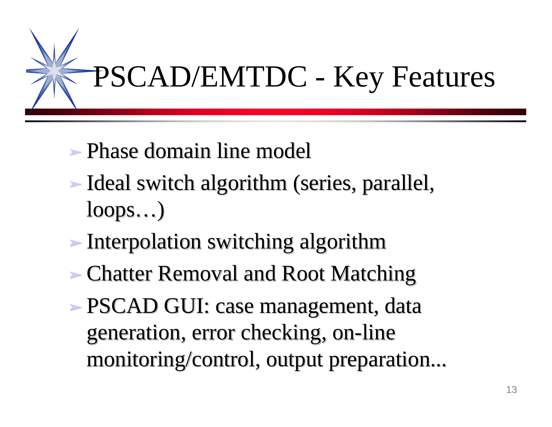

- ‰ Phase domain line model
- ‰ Ideal switch algorithm (series, parallel, loops…)
- ‰ Interpolation switching algorithm
- Chatter Removal and Root Matching
- ‰ PSCAD GUI: case management, data generation, error checking, on-line monitoring/control, output preparation...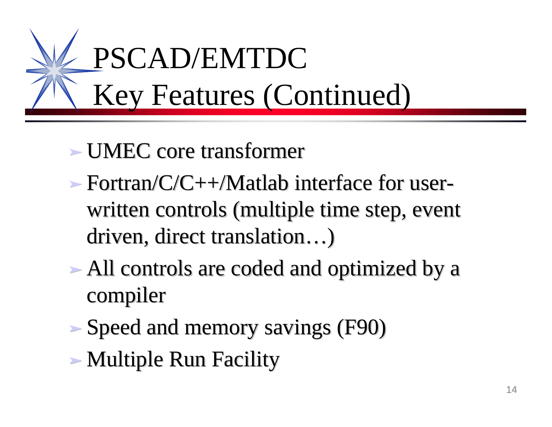

# ‰ UMEC core transformer

- $\rightarrow$  Fortran/C/C++/Matlab interface for userwritten controls (multiple time step, event driven, direct translation…)
- ‰ All controls are coded and optimized by a compiler
- ‰ Speed and memory savings (F90)
- ‰ Multiple Run Facility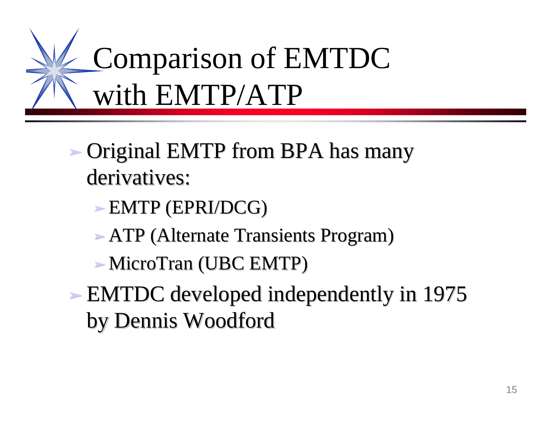

- ‰ Original EMTP from BPA has many derivatives:
	- ‰ EMTP (EPRI/DCG)
	- ATP (Alternate Transients Program)
	- ‰ MicroTran (UBC EMTP)
- ‰ EMTDC developed independently in 1975 by Dennis Woodford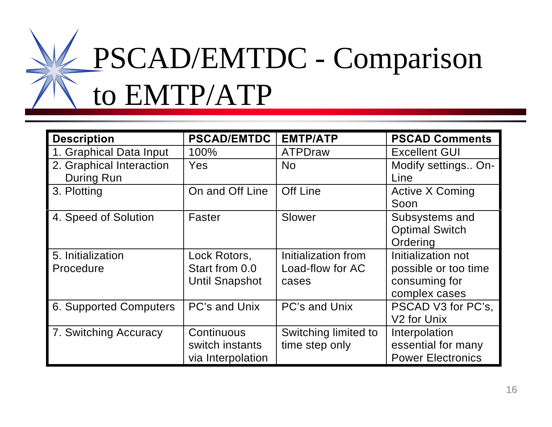

| <b>Description</b>                     | <b>PSCAD/EMTDC</b>                                      | <b>EMTP/ATP</b>                                  | <b>PSCAD Comments</b>                                                        |
|----------------------------------------|---------------------------------------------------------|--------------------------------------------------|------------------------------------------------------------------------------|
| 1. Graphical Data Input                | 100%                                                    | ATPDraw                                          | <b>Excellent GUI</b>                                                         |
| 2. Graphical Interaction<br>During Run | <b>Yes</b>                                              | <b>No</b>                                        | Modify settings On-<br>Line                                                  |
| 3. Plotting                            | On and Off Line                                         | <b>Off Line</b>                                  | <b>Active X Coming</b><br>Soon                                               |
| 4. Speed of Solution                   | Faster                                                  | Slower                                           | Subsystems and<br><b>Optimal Switch</b><br>Ordering                          |
| 5. Initialization<br>Procedure         | Lock Rotors,<br>Start from 0.0<br><b>Until Snapshot</b> | Initialization from<br>Load-flow for AC<br>cases | Initialization not<br>possible or too time<br>consuming for<br>complex cases |
| 6. Supported Computers                 | PC's and Unix                                           | <b>PC's and Unix</b>                             | PSCAD V3 for PC's,<br>V <sub>2</sub> for Unix                                |
| 7. Switching Accuracy                  | Continuous<br>switch instants<br>via Interpolation      | Switching limited to<br>time step only           | Interpolation<br>essential for many<br><b>Power Electronics</b>              |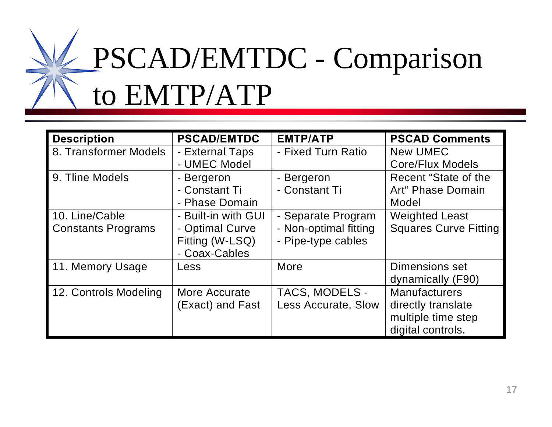

| <b>Description</b>                          | <b>PSCAD/EMTDC</b>                                                         | <b>EMTP/ATP</b>                                                   | <b>PSCAD Comments</b>                                                                 |
|---------------------------------------------|----------------------------------------------------------------------------|-------------------------------------------------------------------|---------------------------------------------------------------------------------------|
| 8. Transformer Models                       | - External Taps<br>- UMEC Model                                            | - Fixed Turn Ratio                                                | <b>New UMEC</b><br><b>Core/Flux Models</b>                                            |
| 9. Tline Models                             | - Bergeron<br>- Constant Ti<br>- Phase Domain                              | - Bergeron<br>- Constant Ti                                       | Recent "State of the<br>Art" Phase Domain<br>Model                                    |
| 10. Line/Cable<br><b>Constants Programs</b> | - Built-in with GUI<br>- Optimal Curve<br>Fitting (W-LSQ)<br>- Coax-Cables | - Separate Program<br>- Non-optimal fitting<br>- Pipe-type cables | <b>Weighted Least</b><br><b>Squares Curve Fitting</b>                                 |
| 11. Memory Usage                            | Less                                                                       | More                                                              | Dimensions set<br>dynamically (F90)                                                   |
| 12. Controls Modeling                       | More Accurate<br>(Exact) and Fast                                          | <b>TACS, MODELS -</b><br>Less Accurate, Slow                      | <b>Manufacturers</b><br>directly translate<br>multiple time step<br>digital controls. |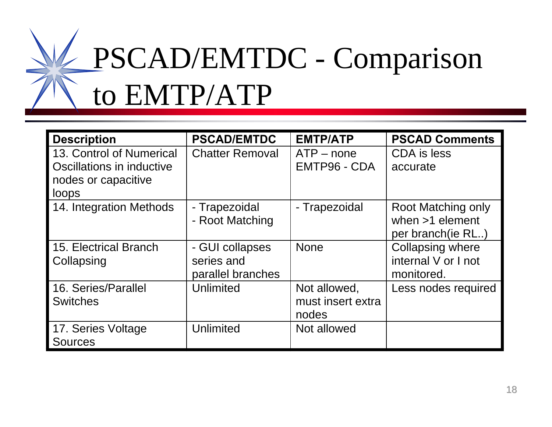

| <b>Description</b>                                                                    | <b>PSCAD/EMTDC</b>                                 | <b>EMTP/ATP</b>                            | <b>PSCAD Comments</b>                                         |
|---------------------------------------------------------------------------------------|----------------------------------------------------|--------------------------------------------|---------------------------------------------------------------|
| 13. Control of Numerical<br>Oscillations in inductive<br>nodes or capacitive<br>loops | <b>Chatter Removal</b>                             | $ATP$ – none<br>EMTP96 - CDA               | CDA is less<br>accurate                                       |
| 14. Integration Methods                                                               | - Trapezoidal<br>- Root Matching                   | - Trapezoidal                              | Root Matching only<br>when $>1$ element<br>per branch (ie RL) |
| <b>15. Electrical Branch</b><br>Collapsing                                            | - GUI collapses<br>series and<br>parallel branches | <b>None</b>                                | <b>Collapsing where</b><br>internal V or I not<br>monitored.  |
| 16. Series/Parallel<br><b>Switches</b>                                                | Unlimited                                          | Not allowed,<br>must insert extra<br>nodes | Less nodes required                                           |
| 17. Series Voltage<br><b>Sources</b>                                                  | Unlimited                                          | Not allowed                                |                                                               |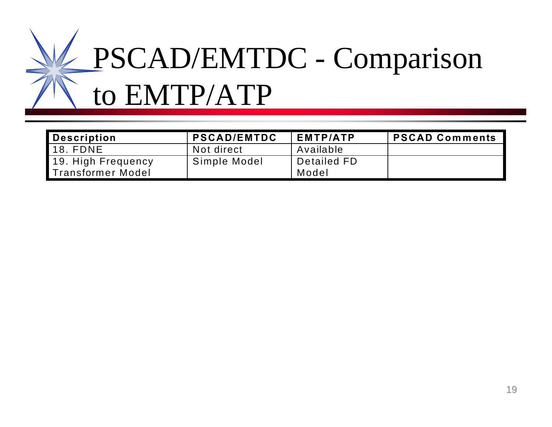

| Description                             | <b>PSCAD/EMTDC</b> | <b>EMTP/ATP</b>      | <b>PSCAD Comments</b> |
|-----------------------------------------|--------------------|----------------------|-----------------------|
| 18. FDNE                                | Not direct         | Available            |                       |
| 19. High Frequency<br>Transformer Model | Simple Model       | Detailed FD<br>Model |                       |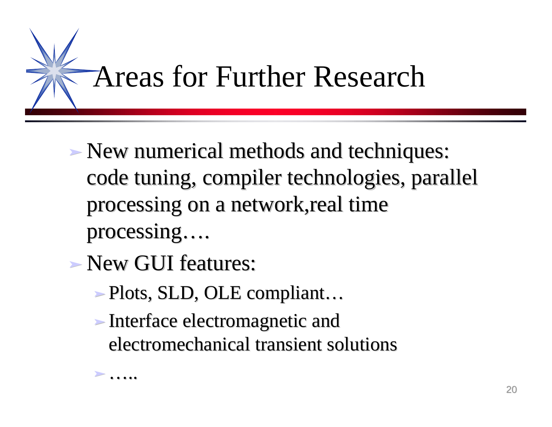

- ‰ New numerical methods and techniques: code tuning, compiler technologies, parallel processing on a network,real time processing….
- ‰ New GUI features:

 $\blacktriangleright$  ....

- ‰ Plots, SLD, OLE compliant…
- ‰ Interface electromagnetic and electromechanical transient solutions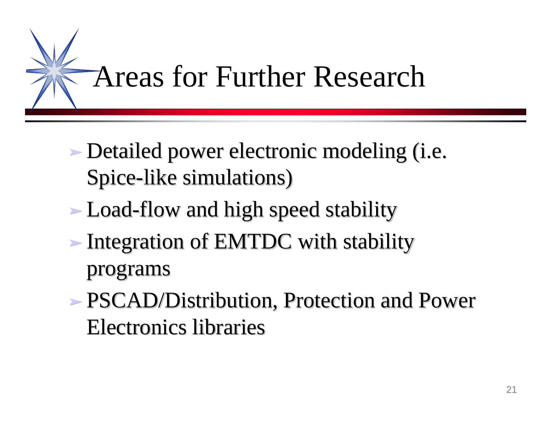

- ‰ Detailed power electronic modeling (i.e. Spice-like simulations)
- Load-flow and high speed stability
- ‰ Integration of EMTDC with stability programs
- ‰ PSCAD/Distribution, Protection and Power Electronics libraries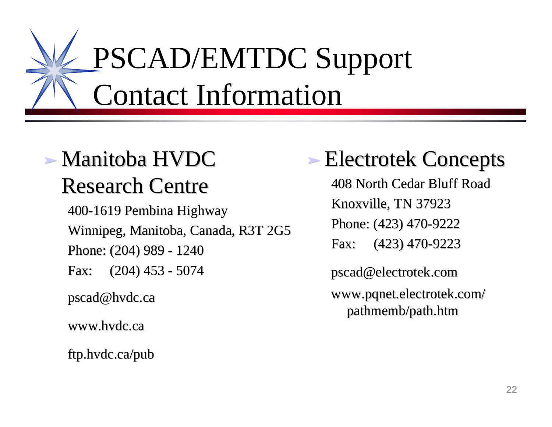# PSCAD/EMTDC Support Contact Information

# ‰ Manitoba HVDC Research Centre

400-1619 Pembina Highway Winnipeg, Manitoba, Canada, R3T 2G5 Phone: (204) 989 - 1240 Fax: (204) 453 - 5074

pscad@hvdc.ca

www.hvdc.ca

ftp.hvdc.ca/pub

# ‰ Electrotek Concepts

408 North Cedar Bluff Road Knoxville, TN 37923 Phone: (423) 470-9222 Fax: (423) 470-9223

pscad@electrotek.com

www.pqnet.electrotek.com/ pathmemb/path.htm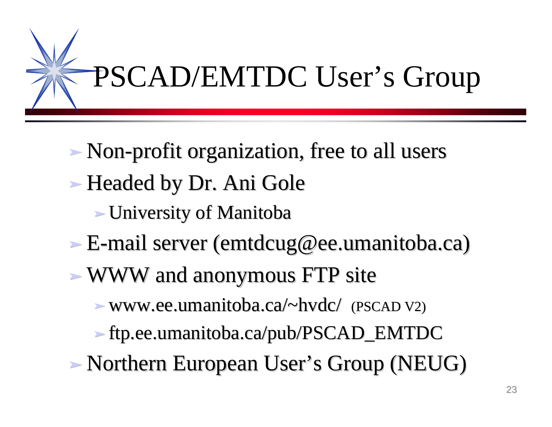

- ‰ Non-profit organization, free to all users ► Headed by Dr. Ani Gole
	- ‰ University of Manitoba
- ‰ E-mail server (emtdcug@ee.umanitoba.ca)
- ‰ WWW and anonymous FTP site

 $\blacktriangleright$  www.ee.umanitoba.ca/~hvdc/ (PSCAD V2)

- ‰ ftp.ee.umanitoba.ca/pub/PSCAD\_EMTDC
- ‰ Northern European User's Group (NEUG)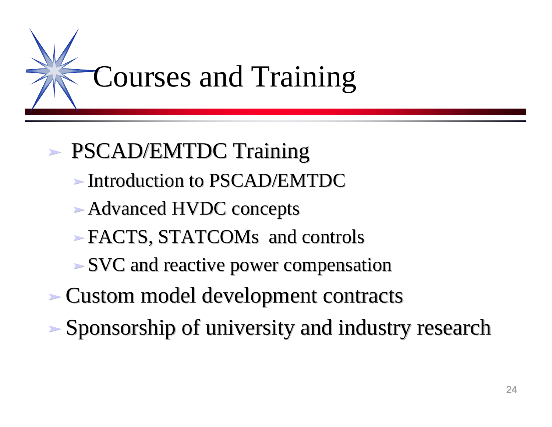

# ‰ PSCAD/EMTDC Training

- ‰ Introduction to PSCAD/EMTDC
- ► Advanced HVDC concepts
- ‰ FACTS, STATCOMs and controls
- ‰ SVC and reactive power compensation
- ‰ Custom model development contracts
- ‰ Sponsorship of university and industry research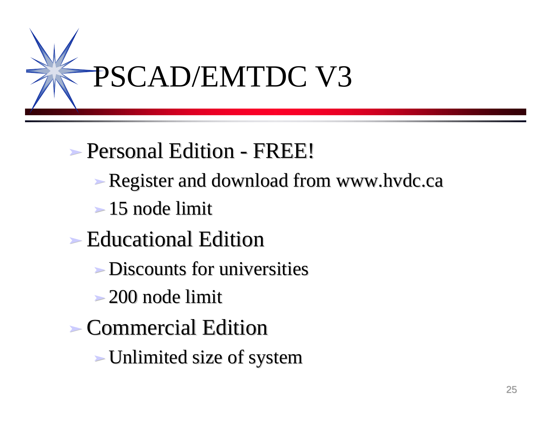

# ‰ Personal Edition - FREE!

- Register and download from www.hvdc.ca
- $\geq 15$  node limit
- ► Educational Edition
	- ‰ Discounts for universities
	- $\geq 200$  node limit
- ‰ Commercial Edition
	- ‰ Unlimited size of system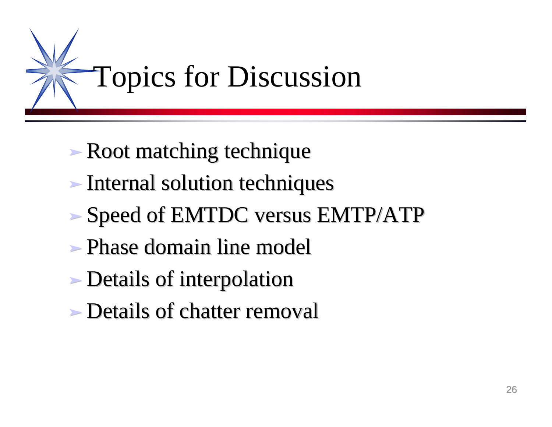

- Root matching technique
- ‰ Internal solution techniques
- ‰ Speed of EMTDC versus EMTP/ATP
- ‰ Phase domain line model
- Details of interpolation
- ‰ Details of chatter removal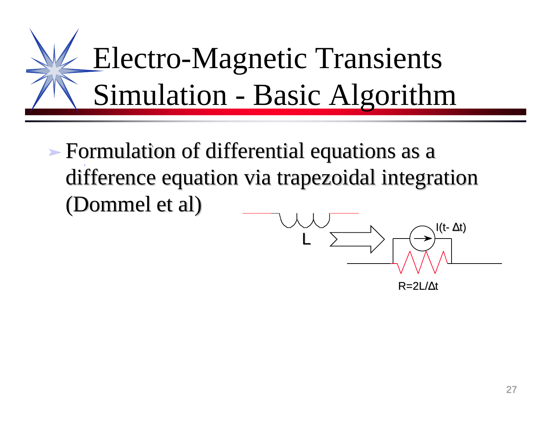

 $\blacktriangleright$  **Formulation of differential equations as a I** difference equation via trapezoidal integration (Dommel et al)

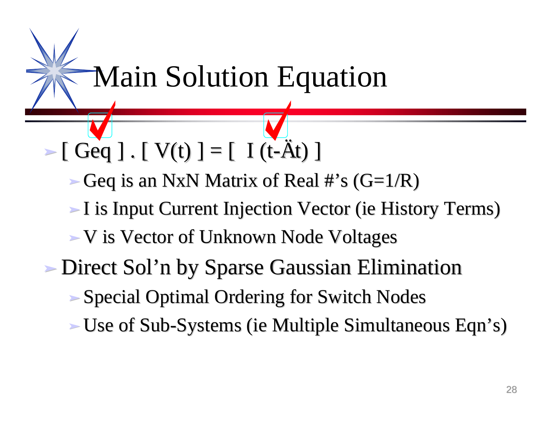Main Solution Equation

 $\triangleright$  [ Geq ] . [ V(t) ] = [ I (t- $\hat{A}t$ ) ]

Geq is an NxN Matrix of Real #'s  $(G=1/R)$ 

‰ I is Input Current Injection Vector (ie History Terms)

‰ V is Vector of Unknown Node Voltages

- ‰ Direct Sol'n by Sparse Gaussian Elimination
	- ‰ Special Optimal Ordering for Switch Nodes
	- ‰ Use of Sub-Systems (ie Multiple Simultaneous Eqn's)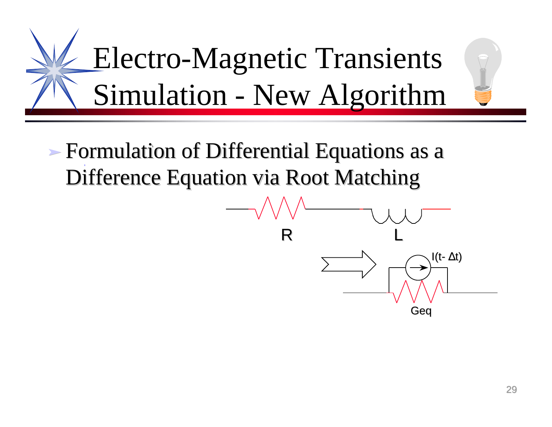

 $\blacktriangleright$  **Formulation of Differential Equations as a I** Difference Equation via Root Matching

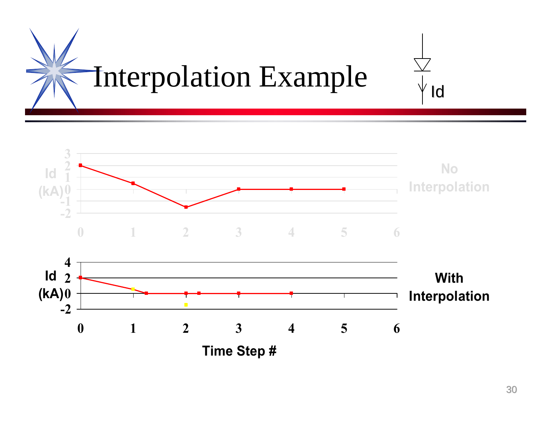

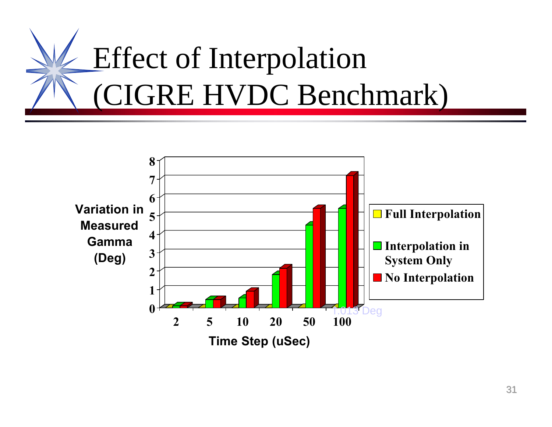

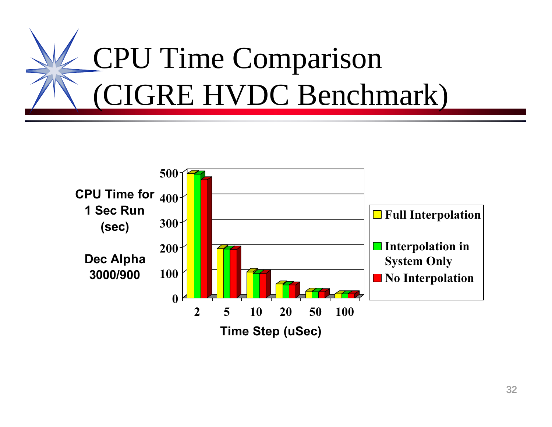

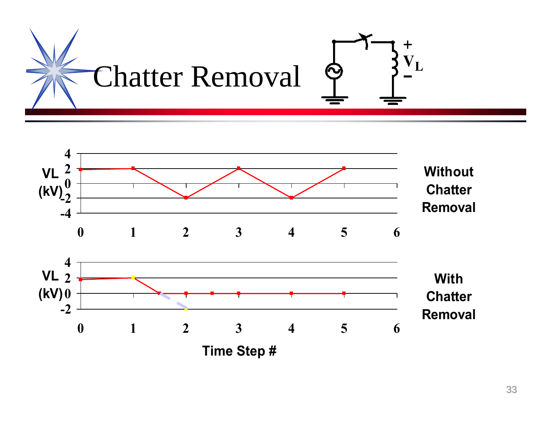